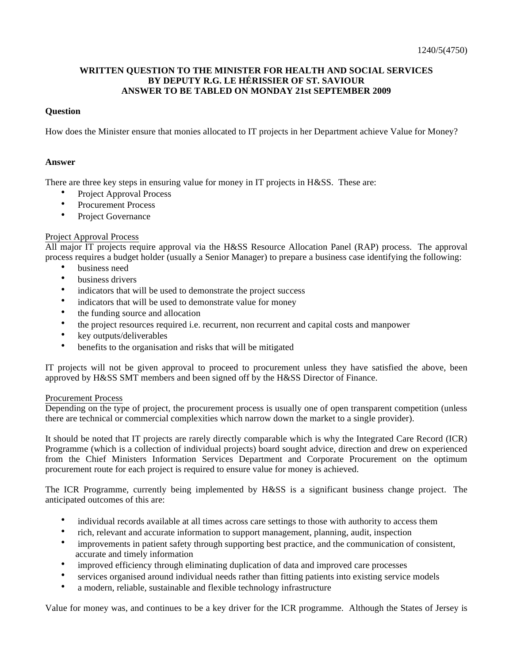# **WRITTEN QUESTION TO THE MINISTER FOR HEALTH AND SOCIAL SERVICES BY DEPUTY R.G. LE HÉRISSIER OF ST. SAVIOUR ANSWER TO BE TABLED ON MONDAY 21st SEPTEMBER 2009**

## **Question**

How does the Minister ensure that monies allocated to IT projects in her Department achieve Value for Money?

#### **Answer**

There are three key steps in ensuring value for money in IT projects in H&SS. These are:

- Project Approval Process
- Procurement Process
- Project Governance

## Project Approval Process

All major IT projects require approval via the H&SS Resource Allocation Panel (RAP) process. The approval process requires a budget holder (usually a Senior Manager) to prepare a business case identifying the following:

- business need
- business drivers
- indicators that will be used to demonstrate the project success
- indicators that will be used to demonstrate value for money
- the funding source and allocation
- the project resources required i.e. recurrent, non recurrent and capital costs and manpower
- key outputs/deliverables
- benefits to the organisation and risks that will be mitigated

IT projects will not be given approval to proceed to procurement unless they have satisfied the above, been approved by H&SS SMT members and been signed off by the H&SS Director of Finance.

## Procurement Process

Depending on the type of project, the procurement process is usually one of open transparent competition (unless there are technical or commercial complexities which narrow down the market to a single provider).

It should be noted that IT projects are rarely directly comparable which is why the Integrated Care Record (ICR) Programme (which is a collection of individual projects) board sought advice, direction and drew on experienced from the Chief Ministers Information Services Department and Corporate Procurement on the optimum procurement route for each project is required to ensure value for money is achieved.

The ICR Programme, currently being implemented by H&SS is a significant business change project. The anticipated outcomes of this are:

- individual records available at all times across care settings to those with authority to access them
- rich, relevant and accurate information to support management, planning, audit, inspection
- improvements in patient safety through supporting best practice, and the communication of consistent, accurate and timely information
- improved efficiency through eliminating duplication of data and improved care processes
- services organised around individual needs rather than fitting patients into existing service models
- a modern, reliable, sustainable and flexible technology infrastructure

Value for money was, and continues to be a key driver for the ICR programme. Although the States of Jersey is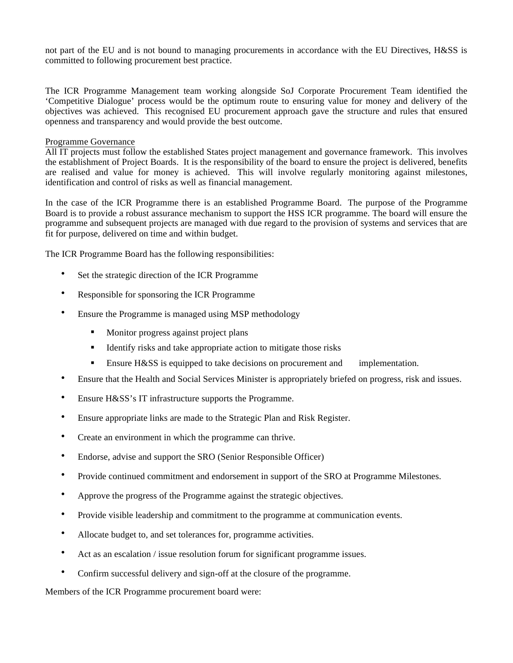not part of the EU and is not bound to managing procurements in accordance with the EU Directives, H&SS is committed to following procurement best practice.

The ICR Programme Management team working alongside SoJ Corporate Procurement Team identified the 'Competitive Dialogue' process would be the optimum route to ensuring value for money and delivery of the objectives was achieved. This recognised EU procurement approach gave the structure and rules that ensured openness and transparency and would provide the best outcome.

#### Programme Governance

All IT projects must follow the established States project management and governance framework. This involves the establishment of Project Boards. It is the responsibility of the board to ensure the project is delivered, benefits are realised and value for money is achieved. This will involve regularly monitoring against milestones, identification and control of risks as well as financial management.

In the case of the ICR Programme there is an established Programme Board. The purpose of the Programme Board is to provide a robust assurance mechanism to support the HSS ICR programme. The board will ensure the programme and subsequent projects are managed with due regard to the provision of systems and services that are fit for purpose, delivered on time and within budget.

The ICR Programme Board has the following responsibilities:

- Set the strategic direction of the ICR Programme
- Responsible for sponsoring the ICR Programme
- Ensure the Programme is managed using MSP methodology
	- **Monitor progress against project plans**
	- Identify risks and take appropriate action to mitigate those risks
	- **Ensure H&SS** is equipped to take decisions on procurement and implementation.
- Ensure that the Health and Social Services Minister is appropriately briefed on progress, risk and issues.
- Ensure H&SS's IT infrastructure supports the Programme.
- Ensure appropriate links are made to the Strategic Plan and Risk Register.
- Create an environment in which the programme can thrive.
- Endorse, advise and support the SRO (Senior Responsible Officer)
- Provide continued commitment and endorsement in support of the SRO at Programme Milestones.
- Approve the progress of the Programme against the strategic objectives.
- Provide visible leadership and commitment to the programme at communication events.
- Allocate budget to, and set tolerances for, programme activities.
- Act as an escalation / issue resolution forum for significant programme issues.
- Confirm successful delivery and sign-off at the closure of the programme.

Members of the ICR Programme procurement board were: